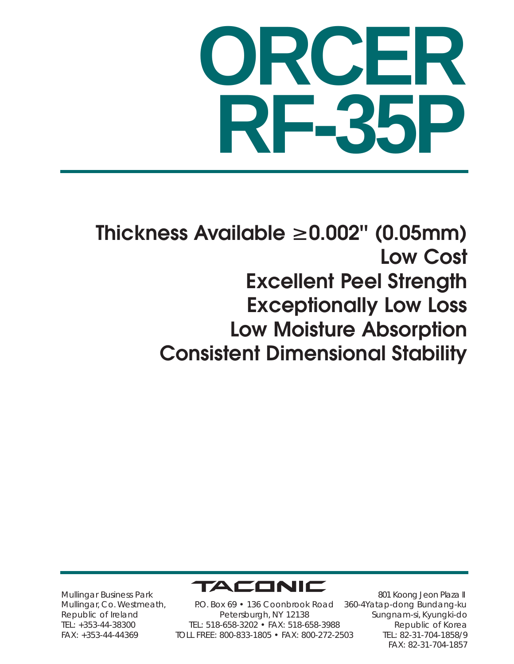## **ORCER RF-35P**

**Thickness Available** ≥ **0.002'' (0.05mm) Low Cost Excellent Peel Strength Exceptionally Low Loss Low Moisture Absorption Consistent Dimensional Stability**



Mullingar Business Park Mullingar, Co. Westmeath, Republic of Ireland TEL: +353-44-38300 FAX: +353-44-44369

P.O. Box 69 • 136 Coonbrook Road Petersburgh, NY 12138 TEL: 518-658-3202 • FAX: 518-658-3988 TOLL FREE: 800-833-1805 • FAX: 800-272-2503

801 Koong Jeon Plaza II 360-4Yatap-dong Bundang-ku Sungnam-si, Kyungki-do Republic of Korea TEL: 82-31-704-1858/9 FAX: 82-31-704-1857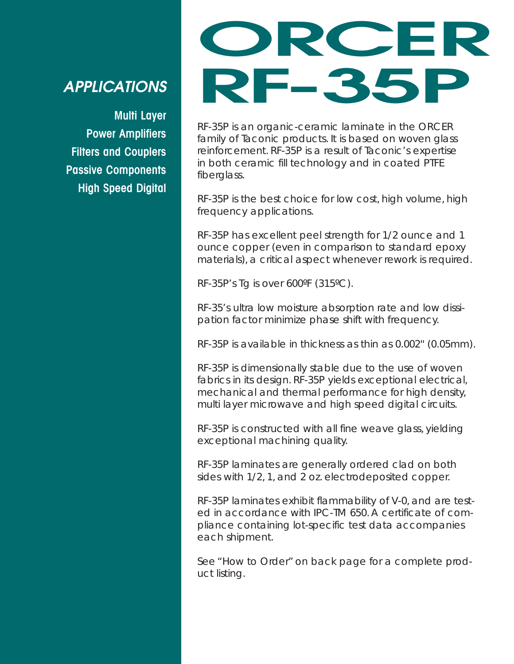## *APPLICATIONS*

**Multi Layer Power Amplifiers Filters and Couplers Passive Components High Speed Digital**

## **ORCER RF-35P**

RF-35P is an organic-ceramic laminate in the ORCER family of Taconic products. It is based on woven glass reinforcement. RF-35P is a result of Taconic's expertise in both ceramic fill technology and in coated PTFE fiberglass.

RF-35P is the best choice for low cost, high volume, high frequency applications.

RF-35P has excellent peel strength for 1/2 ounce and 1 ounce copper (even in comparison to standard epoxy materials), a critical aspect whenever rework is required.

RF-35P's Tg is over 600ºF (315ºC).

RF-35's ultra low moisture absorption rate and low dissipation factor minimize phase shift with frequency.

RF-35P is available in thickness as thin as 0.002'' (0.05mm).

RF-35P is dimensionally stable due to the use of woven fabrics in its design. RF-35P yields exceptional electrical, mechanical and thermal performance for high density, multi layer microwave and high speed digital circuits.

RF-35P is constructed with all fine weave glass, yielding exceptional machining quality.

RF-35P laminates are generally ordered clad on both sides with 1/2, 1, and 2 oz. electrodeposited copper.

RF-35P laminates exhibit flammability of V-0, and are tested in accordance with IPC-TM 650. A certificate of compliance containing lot-specific test data accompanies each shipment.

See "How to Order" on back page for a complete product listing.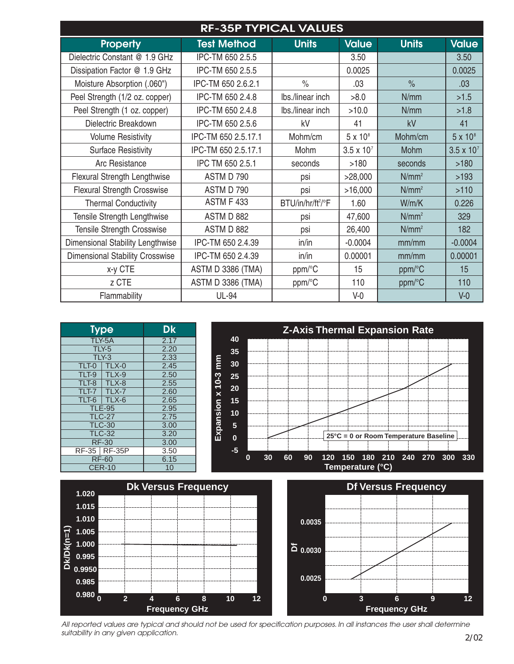| <b>RF-35P TYPICAL VALUES</b>           |                          |                               |                     |               |                     |  |  |  |  |
|----------------------------------------|--------------------------|-------------------------------|---------------------|---------------|---------------------|--|--|--|--|
| <b>Property</b>                        | <b>Test Method</b>       | <b>Units</b>                  | <b>Value</b>        | <b>Units</b>  | <b>Value</b>        |  |  |  |  |
| Dielectric Constant @ 1.9 GHz          | IPC-TM 650 2.5.5         |                               | 3.50                |               | 3.50                |  |  |  |  |
| Dissipation Factor @ 1.9 GHz           | IPC-TM 650 2.5.5         |                               | 0.0025              |               | 0.0025              |  |  |  |  |
| Moisture Absorption (.060")            | IPC-TM 650 2.6.2.1       | $\frac{1}{2}$                 | .03                 | $\frac{9}{6}$ | .03                 |  |  |  |  |
| Peel Strength (1/2 oz. copper)         | IPC-TM 650 2.4.8         | Ibs./linear inch              | >8.0                | N/mm          | >1.5                |  |  |  |  |
| Peel Strength (1 oz. copper)           | IPC-TM 650 2.4.8         | Ibs./linear inch              | >10.0               | N/mm          | >1.8                |  |  |  |  |
| Dielectric Breakdown                   | IPC-TM 650 2.5.6         | kV                            | 41                  | kV            | 41                  |  |  |  |  |
| <b>Volume Resistivity</b>              | IPC-TM 650 2.5.17.1      | Mohm/cm                       | $5 \times 10^8$     | Mohm/cm       | $5 \times 10^8$     |  |  |  |  |
| <b>Surface Resistivity</b>             | IPC-TM 650 2.5.17.1      | Mohm                          | $3.5 \times 10^{7}$ | Mohm          | $3.5 \times 10^{7}$ |  |  |  |  |
| Arc Resistance                         | IPC TM 650 2.5.1         | seconds                       | >180                | seconds       | >180                |  |  |  |  |
| <b>Flexural Strength Lengthwise</b>    | ASTM D 790               | psi                           | >28,000             | $N/mm^2$      | >193                |  |  |  |  |
| <b>Flexural Strength Crosswise</b>     | ASTM D 790               | psi                           | >16,000             | $N/mm^2$      | $>110$              |  |  |  |  |
| <b>Thermal Conductivity</b>            | <b>ASTM F 433</b>        | BTU/in/hr/ft <sup>2</sup> /°F | 1.60                | W/m/K         | 0.226               |  |  |  |  |
| Tensile Strength Lengthwise            | ASTM D 882               | psi                           | 47,600              | $N/mm^2$      | 329                 |  |  |  |  |
| <b>Tensile Strength Crosswise</b>      | ASTM D 882               | psi                           | 26,400              | $N/mm^2$      | 182                 |  |  |  |  |
| Dimensional Stability Lengthwise       | IPC-TM 650 2.4.39        | in/in                         | $-0.0004$           | mm/mm         | $-0.0004$           |  |  |  |  |
| <b>Dimensional Stability Crosswise</b> | IPC-TM 650 2.4.39        | in/in                         | 0.00001             | mm/mm         | 0.00001             |  |  |  |  |
| x-y CTE                                | <b>ASTM D 3386 (TMA)</b> | ppm/°C                        | 15                  | ppm/°C        | 15                  |  |  |  |  |
| z CTE                                  | <b>ASTM D 3386 (TMA)</b> | ppm/°C                        | 110                 | ppm/°C        | 110                 |  |  |  |  |
| Flammability                           | <b>UL-94</b>             |                               | $V-0$               |               | $V-0$               |  |  |  |  |





*All reported values are typical and should not be used for specification purposes. In all instances the user shall determine suitability in any given application.*